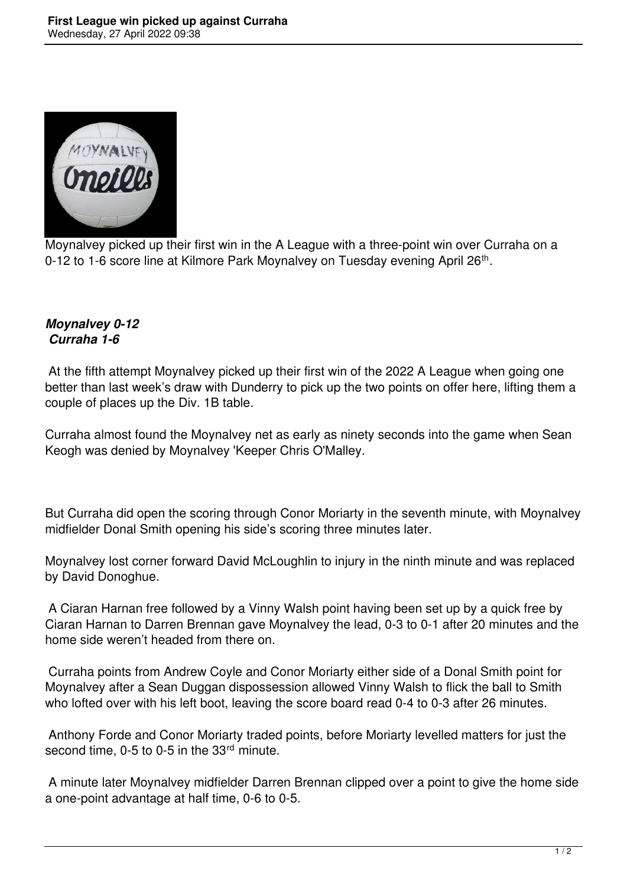

Moynalvey picked up their first win in the A League with a three-point win over Curraha on a 0-12 to 1-6 score line at Kilmore Park Moynalvey on Tuesday evening April 26<sup>th</sup>.

## *Moynalvey 0-12 Curraha 1-6*

 At the fifth attempt Moynalvey picked up their first win of the 2022 A League when going one better than last week's draw with Dunderry to pick up the two points on offer here, lifting them a couple of places up the Div. 1B table.

Curraha almost found the Moynalvey net as early as ninety seconds into the game when Sean Keogh was denied by Moynalvey 'Keeper Chris O'Malley.

But Curraha did open the scoring through Conor Moriarty in the seventh minute, with Moynalvey midfielder Donal Smith opening his side's scoring three minutes later.

Moynalvey lost corner forward David McLoughlin to injury in the ninth minute and was replaced by David Donoghue.

 A Ciaran Harnan free followed by a Vinny Walsh point having been set up by a quick free by Ciaran Harnan to Darren Brennan gave Moynalvey the lead, 0-3 to 0-1 after 20 minutes and the home side weren't headed from there on.

 Curraha points from Andrew Coyle and Conor Moriarty either side of a Donal Smith point for Moynalvey after a Sean Duggan dispossession allowed Vinny Walsh to flick the ball to Smith who lofted over with his left boot, leaving the score board read 0-4 to 0-3 after 26 minutes.

 Anthony Forde and Conor Moriarty traded points, before Moriarty levelled matters for just the second time, 0-5 to 0-5 in the 33<sup>rd</sup> minute.

 A minute later Moynalvey midfielder Darren Brennan clipped over a point to give the home side a one-point advantage at half time, 0-6 to 0-5.